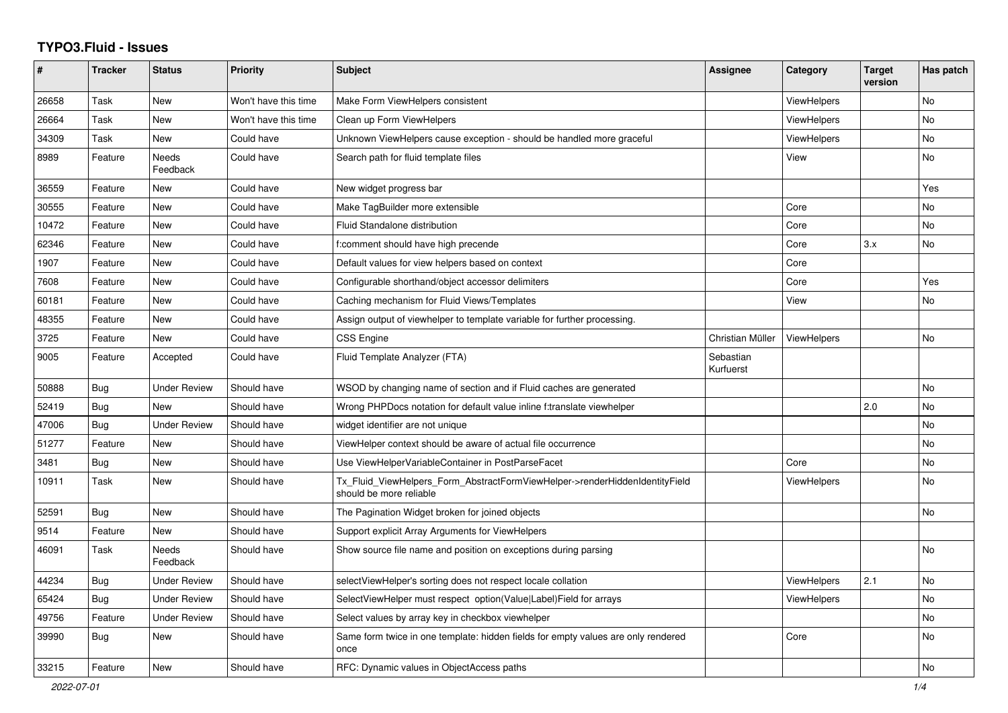## **TYPO3.Fluid - Issues**

| #     | <b>Tracker</b> | <b>Status</b>       | <b>Priority</b>      | <b>Subject</b>                                                                                         | Assignee               | Category           | <b>Target</b><br>version | Has patch |
|-------|----------------|---------------------|----------------------|--------------------------------------------------------------------------------------------------------|------------------------|--------------------|--------------------------|-----------|
| 26658 | Task           | New                 | Won't have this time | Make Form ViewHelpers consistent                                                                       |                        | <b>ViewHelpers</b> |                          | <b>No</b> |
| 26664 | Task           | <b>New</b>          | Won't have this time | Clean up Form ViewHelpers                                                                              |                        | <b>ViewHelpers</b> |                          | <b>No</b> |
| 34309 | Task           | New                 | Could have           | Unknown ViewHelpers cause exception - should be handled more graceful                                  |                        | ViewHelpers        |                          | No        |
| 8989  | Feature        | Needs<br>Feedback   | Could have           | Search path for fluid template files                                                                   |                        | View               |                          | No        |
| 36559 | Feature        | New                 | Could have           | New widget progress bar                                                                                |                        |                    |                          | Yes       |
| 30555 | Feature        | <b>New</b>          | Could have           | Make TagBuilder more extensible                                                                        |                        | Core               |                          | <b>No</b> |
| 10472 | Feature        | <b>New</b>          | Could have           | Fluid Standalone distribution                                                                          |                        | Core               |                          | <b>No</b> |
| 62346 | Feature        | New                 | Could have           | f:comment should have high precende                                                                    |                        | Core               | 3.x                      | No        |
| 1907  | Feature        | New                 | Could have           | Default values for view helpers based on context                                                       |                        | Core               |                          |           |
| 7608  | Feature        | New                 | Could have           | Configurable shorthand/object accessor delimiters                                                      |                        | Core               |                          | Yes       |
| 60181 | Feature        | New                 | Could have           | Caching mechanism for Fluid Views/Templates                                                            |                        | View               |                          | <b>No</b> |
| 48355 | Feature        | New                 | Could have           | Assign output of viewhelper to template variable for further processing.                               |                        |                    |                          |           |
| 3725  | Feature        | <b>New</b>          | Could have           | <b>CSS Engine</b>                                                                                      | Christian Müller       | ViewHelpers        |                          | <b>No</b> |
| 9005  | Feature        | Accepted            | Could have           | Fluid Template Analyzer (FTA)                                                                          | Sebastian<br>Kurfuerst |                    |                          |           |
| 50888 | <b>Bug</b>     | Under Review        | Should have          | WSOD by changing name of section and if Fluid caches are generated                                     |                        |                    |                          | <b>No</b> |
| 52419 | <b>Bug</b>     | <b>New</b>          | Should have          | Wrong PHPDocs notation for default value inline f:translate viewhelper                                 |                        |                    | 2.0                      | <b>No</b> |
| 47006 | Bug            | Under Review        | Should have          | widget identifier are not unique                                                                       |                        |                    |                          | <b>No</b> |
| 51277 | Feature        | New                 | Should have          | ViewHelper context should be aware of actual file occurrence                                           |                        |                    |                          | No        |
| 3481  | Bug            | New                 | Should have          | Use ViewHelperVariableContainer in PostParseFacet                                                      |                        | Core               |                          | No        |
| 10911 | Task           | <b>New</b>          | Should have          | Tx Fluid ViewHelpers Form AbstractFormViewHelper->renderHiddenIdentityField<br>should be more reliable |                        | ViewHelpers        |                          | No.       |
| 52591 | Bug            | <b>New</b>          | Should have          | The Pagination Widget broken for joined objects                                                        |                        |                    |                          | <b>No</b> |
| 9514  | Feature        | <b>New</b>          | Should have          | Support explicit Array Arguments for ViewHelpers                                                       |                        |                    |                          |           |
| 46091 | Task           | Needs<br>Feedback   | Should have          | Show source file name and position on exceptions during parsing                                        |                        |                    |                          | <b>No</b> |
| 44234 | <b>Bug</b>     | Under Review        | Should have          | selectViewHelper's sorting does not respect locale collation                                           |                        | <b>ViewHelpers</b> | 2.1                      | <b>No</b> |
| 65424 | Bug            | <b>Under Review</b> | Should have          | SelectViewHelper must respect option(Value Label)Field for arrays                                      |                        | ViewHelpers        |                          | <b>No</b> |
| 49756 | Feature        | <b>Under Review</b> | Should have          | Select values by array key in checkbox viewhelper                                                      |                        |                    |                          | <b>No</b> |
| 39990 | Bug            | New                 | Should have          | Same form twice in one template: hidden fields for empty values are only rendered<br>once              |                        | Core               |                          | No        |
| 33215 | Feature        | New                 | Should have          | RFC: Dynamic values in ObjectAccess paths                                                              |                        |                    |                          | No        |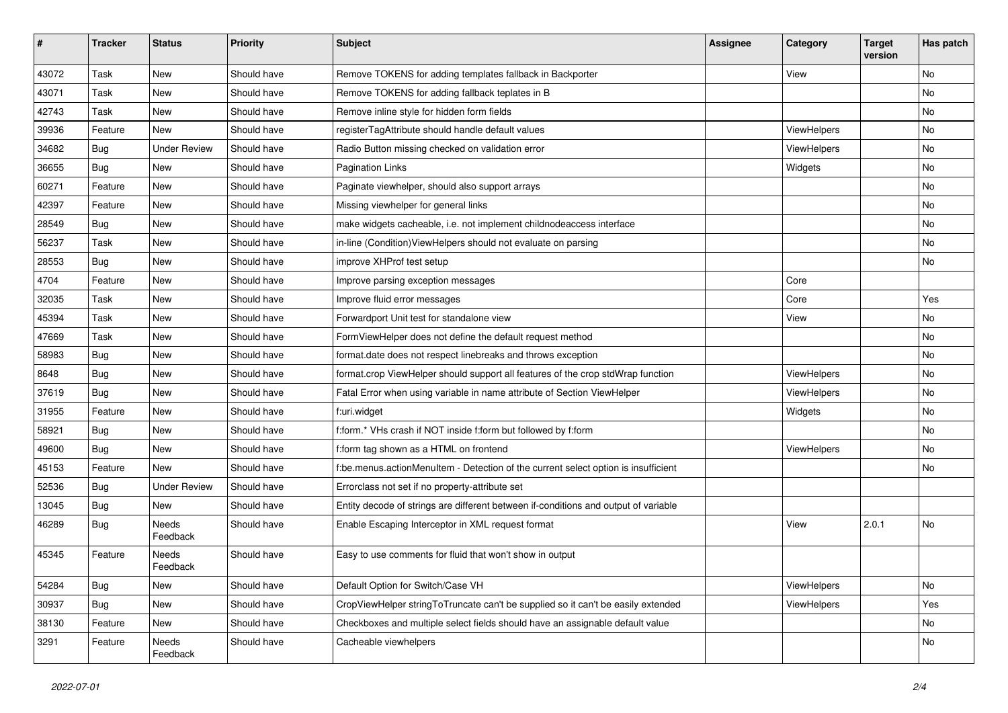| ∦     | <b>Tracker</b> | <b>Status</b>       | <b>Priority</b> | <b>Subject</b>                                                                      | <b>Assignee</b> | Category    | <b>Target</b><br>version | Has patch |
|-------|----------------|---------------------|-----------------|-------------------------------------------------------------------------------------|-----------------|-------------|--------------------------|-----------|
| 43072 | Task           | New                 | Should have     | Remove TOKENS for adding templates fallback in Backporter                           |                 | View        |                          | No        |
| 43071 | Task           | New                 | Should have     | Remove TOKENS for adding fallback teplates in B                                     |                 |             |                          | No        |
| 42743 | Task           | New                 | Should have     | Remove inline style for hidden form fields                                          |                 |             |                          | No        |
| 39936 | Feature        | New                 | Should have     | registerTagAttribute should handle default values                                   |                 | ViewHelpers |                          | No        |
| 34682 | Bug            | <b>Under Review</b> | Should have     | Radio Button missing checked on validation error                                    |                 | ViewHelpers |                          | No        |
| 36655 | Bug            | New                 | Should have     | <b>Pagination Links</b>                                                             |                 | Widgets     |                          | No        |
| 60271 | Feature        | New                 | Should have     | Paginate viewhelper, should also support arrays                                     |                 |             |                          | No        |
| 42397 | Feature        | New                 | Should have     | Missing viewhelper for general links                                                |                 |             |                          | No        |
| 28549 | Bug            | New                 | Should have     | make widgets cacheable, i.e. not implement childnodeaccess interface                |                 |             |                          | No        |
| 56237 | Task           | New                 | Should have     | in-line (Condition) View Helpers should not evaluate on parsing                     |                 |             |                          | No        |
| 28553 | Bug            | <b>New</b>          | Should have     | improve XHProf test setup                                                           |                 |             |                          | No        |
| 4704  | Feature        | New                 | Should have     | Improve parsing exception messages                                                  |                 | Core        |                          |           |
| 32035 | Task           | New                 | Should have     | Improve fluid error messages                                                        |                 | Core        |                          | Yes       |
| 45394 | Task           | New                 | Should have     | Forwardport Unit test for standalone view                                           |                 | View        |                          | No        |
| 47669 | Task           | New                 | Should have     | FormViewHelper does not define the default request method                           |                 |             |                          | No        |
| 58983 | Bug            | New                 | Should have     | format.date does not respect linebreaks and throws exception                        |                 |             |                          | No.       |
| 8648  | Bug            | New                 | Should have     | format.crop ViewHelper should support all features of the crop stdWrap function     |                 | ViewHelpers |                          | No        |
| 37619 | Bug            | New                 | Should have     | Fatal Error when using variable in name attribute of Section ViewHelper             |                 | ViewHelpers |                          | No        |
| 31955 | Feature        | New                 | Should have     | f:uri.widget                                                                        |                 | Widgets     |                          | No        |
| 58921 | Bug            | New                 | Should have     | f:form.* VHs crash if NOT inside f:form but followed by f:form                      |                 |             |                          | No        |
| 49600 | Bug            | New                 | Should have     | f:form tag shown as a HTML on frontend                                              |                 | ViewHelpers |                          | No        |
| 45153 | Feature        | <b>New</b>          | Should have     | f:be.menus.actionMenuItem - Detection of the current select option is insufficient  |                 |             |                          | No.       |
| 52536 | Bug            | <b>Under Review</b> | Should have     | Errorclass not set if no property-attribute set                                     |                 |             |                          |           |
| 13045 | Bug            | <b>New</b>          | Should have     | Entity decode of strings are different between if-conditions and output of variable |                 |             |                          |           |
| 46289 | <b>Bug</b>     | Needs<br>Feedback   | Should have     | Enable Escaping Interceptor in XML request format                                   |                 | View        | 2.0.1                    | No        |
| 45345 | Feature        | Needs<br>Feedback   | Should have     | Easy to use comments for fluid that won't show in output                            |                 |             |                          |           |
| 54284 | Bug            | New                 | Should have     | Default Option for Switch/Case VH                                                   |                 | ViewHelpers |                          | No        |
| 30937 | <b>Bug</b>     | New                 | Should have     | CropViewHelper stringToTruncate can't be supplied so it can't be easily extended    |                 | ViewHelpers |                          | Yes       |
| 38130 | Feature        | New                 | Should have     | Checkboxes and multiple select fields should have an assignable default value       |                 |             |                          | No        |
| 3291  | Feature        | Needs<br>Feedback   | Should have     | Cacheable viewhelpers                                                               |                 |             |                          | No        |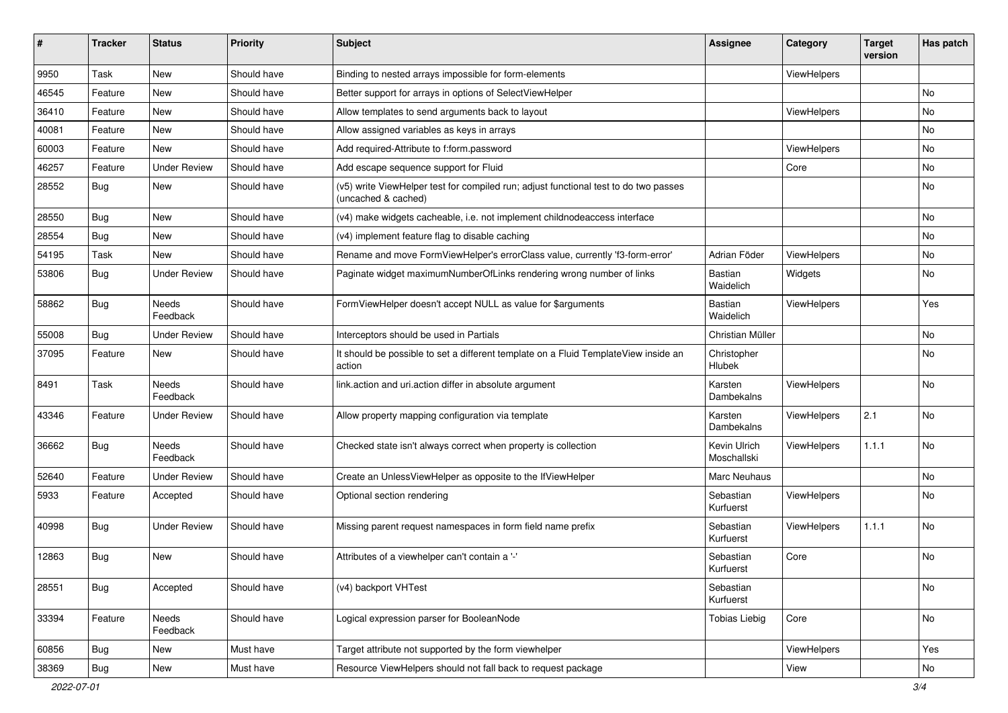| #     | <b>Tracker</b> | <b>Status</b>            | <b>Priority</b> | Subject                                                                                                     | <b>Assignee</b>             | Category    | <b>Target</b><br>version | Has patch |
|-------|----------------|--------------------------|-----------------|-------------------------------------------------------------------------------------------------------------|-----------------------------|-------------|--------------------------|-----------|
| 9950  | Task           | New                      | Should have     | Binding to nested arrays impossible for form-elements                                                       |                             | ViewHelpers |                          |           |
| 46545 | Feature        | New                      | Should have     | Better support for arrays in options of SelectViewHelper                                                    |                             |             |                          | No        |
| 36410 | Feature        | New                      | Should have     | Allow templates to send arguments back to layout                                                            |                             | ViewHelpers |                          | No        |
| 40081 | Feature        | New                      | Should have     | Allow assigned variables as keys in arrays                                                                  |                             |             |                          | No        |
| 60003 | Feature        | New                      | Should have     | Add required-Attribute to f:form.password                                                                   |                             | ViewHelpers |                          | No        |
| 46257 | Feature        | <b>Under Review</b>      | Should have     | Add escape sequence support for Fluid                                                                       |                             | Core        |                          | No        |
| 28552 | Bug            | New                      | Should have     | (v5) write ViewHelper test for compiled run; adjust functional test to do two passes<br>(uncached & cached) |                             |             |                          | No        |
| 28550 | Bug            | New                      | Should have     | (v4) make widgets cacheable, i.e. not implement childnodeaccess interface                                   |                             |             |                          | No        |
| 28554 | Bug            | New                      | Should have     | (v4) implement feature flag to disable caching                                                              |                             |             |                          | <b>No</b> |
| 54195 | Task           | New                      | Should have     | Rename and move FormViewHelper's errorClass value, currently 'f3-form-error'                                | Adrian Föder                | ViewHelpers |                          | No        |
| 53806 | Bug            | <b>Under Review</b>      | Should have     | Paginate widget maximumNumberOfLinks rendering wrong number of links                                        | Bastian<br>Waidelich        | Widgets     |                          | No        |
| 58862 | Bug            | Needs<br>Feedback        | Should have     | FormViewHelper doesn't accept NULL as value for \$arguments                                                 | Bastian<br>Waidelich        | ViewHelpers |                          | Yes       |
| 55008 | Bug            | <b>Under Review</b>      | Should have     | Interceptors should be used in Partials                                                                     | Christian Müller            |             |                          | No        |
| 37095 | Feature        | New                      | Should have     | It should be possible to set a different template on a Fluid TemplateView inside an<br>action               | Christopher<br>Hlubek       |             |                          | No        |
| 8491  | Task           | Needs<br>Feedback        | Should have     | link.action and uri.action differ in absolute argument                                                      | Karsten<br>Dambekalns       | ViewHelpers |                          | <b>No</b> |
| 43346 | Feature        | Under Review             | Should have     | Allow property mapping configuration via template                                                           | Karsten<br>Dambekalns       | ViewHelpers | 2.1                      | No        |
| 36662 | Bug            | <b>Needs</b><br>Feedback | Should have     | Checked state isn't always correct when property is collection                                              | Kevin Ulrich<br>Moschallski | ViewHelpers | 1.1.1                    | <b>No</b> |
| 52640 | Feature        | <b>Under Review</b>      | Should have     | Create an UnlessViewHelper as opposite to the IfViewHelper                                                  | Marc Neuhaus                |             |                          | No        |
| 5933  | Feature        | Accepted                 | Should have     | Optional section rendering                                                                                  | Sebastian<br>Kurfuerst      | ViewHelpers |                          | No        |
| 40998 | Bug            | <b>Under Review</b>      | Should have     | Missing parent request namespaces in form field name prefix                                                 | Sebastian<br>Kurfuerst      | ViewHelpers | 1.1.1                    | No        |
| 12863 | Bug            | New                      | Should have     | Attributes of a viewhelper can't contain a '-'                                                              | Sebastian<br>Kurfuerst      | Core        |                          | <b>No</b> |
| 28551 | Bug            | Accepted                 | Should have     | (v4) backport VHTest                                                                                        | Sebastian<br>Kurfuerst      |             |                          | No        |
| 33394 | Feature        | Needs<br>Feedback        | Should have     | Logical expression parser for BooleanNode                                                                   | <b>Tobias Liebig</b>        | Core        |                          | No        |
| 60856 | <b>Bug</b>     | New                      | Must have       | Target attribute not supported by the form viewhelper                                                       |                             | ViewHelpers |                          | Yes       |
| 38369 | Bug            | New                      | Must have       | Resource ViewHelpers should not fall back to request package                                                |                             | View        |                          | No        |